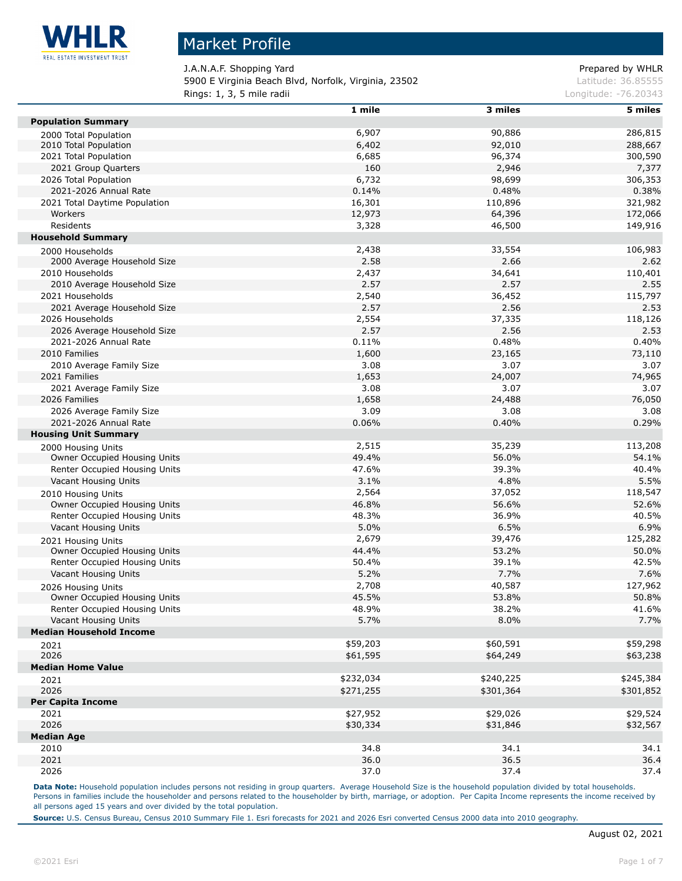

### Market Profile

J.A.N.A.F. Shopping Yard **Prepared by WHLR** 5900 E Virginia Beach Blvd, Norfolk, Virginia, 23502 Latitude: 36.85555 **Rings: 1, 3, 5 mile radii Congression Congress 2014 Longitude: -76.20343** 

|                                | 1 mile    | 3 miles   | 5 miles   |
|--------------------------------|-----------|-----------|-----------|
| <b>Population Summary</b>      |           |           |           |
| 2000 Total Population          | 6,907     | 90,886    | 286,815   |
| 2010 Total Population          | 6,402     | 92,010    | 288,667   |
| 2021 Total Population          | 6,685     | 96,374    | 300,590   |
| 2021 Group Quarters            | 160       | 2,946     | 7,377     |
| 2026 Total Population          | 6,732     | 98,699    | 306,353   |
| 2021-2026 Annual Rate          | 0.14%     | 0.48%     | 0.38%     |
| 2021 Total Daytime Population  | 16,301    | 110,896   | 321,982   |
| Workers                        | 12,973    | 64,396    | 172,066   |
| Residents                      | 3,328     | 46,500    | 149,916   |
| <b>Household Summary</b>       |           |           |           |
| 2000 Households                | 2,438     | 33,554    | 106,983   |
| 2000 Average Household Size    | 2.58      | 2.66      | 2.62      |
| 2010 Households                | 2,437     | 34,641    | 110,401   |
| 2010 Average Household Size    | 2.57      | 2.57      | 2.55      |
| 2021 Households                | 2,540     | 36,452    | 115,797   |
| 2021 Average Household Size    | 2.57      | 2.56      | 2.53      |
| 2026 Households                | 2,554     | 37,335    | 118,126   |
| 2026 Average Household Size    | 2.57      | 2.56      | 2.53      |
| 2021-2026 Annual Rate          | 0.11%     | 0.48%     | 0.40%     |
| 2010 Families                  | 1,600     | 23,165    | 73,110    |
| 2010 Average Family Size       | 3.08      | 3.07      | 3.07      |
| 2021 Families                  | 1,653     | 24,007    | 74,965    |
| 2021 Average Family Size       | 3.08      | 3.07      | 3.07      |
| 2026 Families                  | 1,658     | 24,488    | 76,050    |
| 2026 Average Family Size       | 3.09      | 3.08      | 3.08      |
| 2021-2026 Annual Rate          | 0.06%     | 0.40%     | 0.29%     |
| <b>Housing Unit Summary</b>    |           |           |           |
| 2000 Housing Units             | 2,515     | 35,239    | 113,208   |
| Owner Occupied Housing Units   | 49.4%     | 56.0%     | 54.1%     |
| Renter Occupied Housing Units  | 47.6%     | 39.3%     | 40.4%     |
| Vacant Housing Units           | 3.1%      | 4.8%      | 5.5%      |
| 2010 Housing Units             | 2,564     | 37,052    | 118,547   |
| Owner Occupied Housing Units   | 46.8%     | 56.6%     | 52.6%     |
| Renter Occupied Housing Units  | 48.3%     | 36.9%     | 40.5%     |
| Vacant Housing Units           | 5.0%      | 6.5%      | 6.9%      |
| 2021 Housing Units             | 2,679     | 39,476    | 125,282   |
| Owner Occupied Housing Units   | 44.4%     | 53.2%     | 50.0%     |
| Renter Occupied Housing Units  | 50.4%     | 39.1%     | 42.5%     |
| Vacant Housing Units           | 5.2%      | 7.7%      | 7.6%      |
| 2026 Housing Units             | 2,708     | 40,587    | 127,962   |
| Owner Occupied Housing Units   | 45.5%     | 53.8%     | 50.8%     |
| Renter Occupied Housing Units  | 48.9%     | 38.2%     | 41.6%     |
| Vacant Housing Units           | 5.7%      | 8.0%      | 7.7%      |
| <b>Median Household Income</b> |           |           |           |
| 2021                           | \$59,203  | \$60,591  | \$59,298  |
| 2026                           | \$61,595  | \$64,249  | \$63,238  |
| <b>Median Home Value</b>       |           |           |           |
| 2021                           | \$232,034 | \$240,225 | \$245,384 |
| 2026                           | \$271,255 | \$301,364 | \$301,852 |
| Per Capita Income              |           |           |           |
| 2021                           | \$27,952  | \$29,026  | \$29,524  |
| 2026                           | \$30,334  | \$31,846  | \$32,567  |
| <b>Median Age</b>              |           |           |           |
| 2010                           | 34.8      | 34.1      | 34.1      |
| 2021                           | 36.0      | 36.5      | 36.4      |
| 2026                           | 37.0      | 37.4      | 37.4      |

Data Note: Household population includes persons not residing in group quarters. Average Household Size is the household population divided by total households. Persons in families include the householder and persons related to the householder by birth, marriage, or adoption. Per Capita Income represents the income received by all persons aged 15 years and over divided by the total population.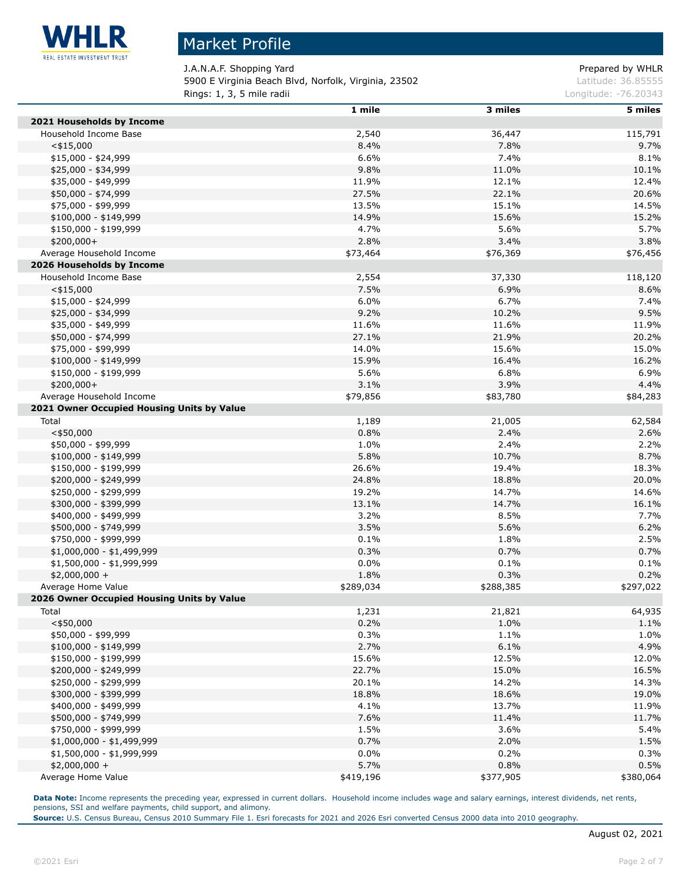

## Market Profile

J.A.N.A.F. Shopping Yard **Prepared by WHLR** 5900 E Virginia Beach Blvd, Norfolk, Virginia, 23502 Latitude: 36.85555 **Rings: 1, 3, 5 mile radii Congression Congress 2014 Longitude: -76.20343** 

|                                            | 1 mile    | 3 miles   | 5 miles   |
|--------------------------------------------|-----------|-----------|-----------|
| 2021 Households by Income                  |           |           |           |
| Household Income Base                      | 2,540     | 36,447    | 115,791   |
| $<$ \$15,000                               | 8.4%      | 7.8%      | 9.7%      |
| \$15,000 - \$24,999                        | 6.6%      | 7.4%      | 8.1%      |
| \$25,000 - \$34,999                        | 9.8%      | 11.0%     | 10.1%     |
| \$35,000 - \$49,999                        | 11.9%     | 12.1%     | 12.4%     |
| \$50,000 - \$74,999                        | 27.5%     | 22.1%     | 20.6%     |
| \$75,000 - \$99,999                        | 13.5%     | 15.1%     | 14.5%     |
| $$100,000 - $149,999$                      | 14.9%     | 15.6%     | 15.2%     |
| \$150,000 - \$199,999                      | 4.7%      | 5.6%      | 5.7%      |
| \$200,000+                                 | 2.8%      | 3.4%      | 3.8%      |
| Average Household Income                   | \$73,464  | \$76,369  | \$76,456  |
| 2026 Households by Income                  |           |           |           |
| Household Income Base                      | 2,554     | 37,330    | 118,120   |
| $<$ \$15,000                               | 7.5%      | 6.9%      | 8.6%      |
| $$15,000 - $24,999$                        | 6.0%      | 6.7%      | 7.4%      |
| \$25,000 - \$34,999                        | 9.2%      | 10.2%     | 9.5%      |
| \$35,000 - \$49,999                        | 11.6%     | 11.6%     | 11.9%     |
| \$50,000 - \$74,999                        | 27.1%     | 21.9%     | 20.2%     |
| \$75,000 - \$99,999                        | 14.0%     | 15.6%     | 15.0%     |
| $$100,000 - $149,999$                      | 15.9%     | 16.4%     | 16.2%     |
| \$150,000 - \$199,999                      | 5.6%      | 6.8%      | 6.9%      |
| \$200,000+                                 | 3.1%      | 3.9%      | 4.4%      |
| Average Household Income                   | \$79,856  | \$83,780  | \$84,283  |
| 2021 Owner Occupied Housing Units by Value |           |           |           |
| Total                                      | 1,189     | 21,005    | 62,584    |
| $<$ \$50,000                               | 0.8%      | 2.4%      | 2.6%      |
| \$50,000 - \$99,999                        | 1.0%      | 2.4%      | 2.2%      |
| $$100,000 - $149,999$                      | 5.8%      | 10.7%     | 8.7%      |
| \$150,000 - \$199,999                      | 26.6%     | 19.4%     | 18.3%     |
| \$200,000 - \$249,999                      | 24.8%     | 18.8%     | 20.0%     |
| \$250,000 - \$299,999                      | 19.2%     | 14.7%     | 14.6%     |
| \$300,000 - \$399,999                      | 13.1%     | 14.7%     | 16.1%     |
| \$400,000 - \$499,999                      | 3.2%      | 8.5%      | 7.7%      |
| \$500,000 - \$749,999                      | 3.5%      | 5.6%      | 6.2%      |
| \$750,000 - \$999,999                      | 0.1%      | 1.8%      | 2.5%      |
| \$1,000,000 - \$1,499,999                  | 0.3%      | 0.7%      | 0.7%      |
| \$1,500,000 - \$1,999,999                  | 0.0%      | 0.1%      | 0.1%      |
| $$2,000,000 +$                             | 1.8%      | 0.3%      | 0.2%      |
| Average Home Value                         | \$289,034 | \$288,385 | \$297,022 |
| 2026 Owner Occupied Housing Units by Value |           |           |           |
| Total                                      | 1,231     | 21,821    | 64,935    |
| $<$ \$50,000                               | 0.2%      | 1.0%      | 1.1%      |
| \$50,000 - \$99,999                        | 0.3%      | 1.1%      | 1.0%      |
| $$100,000 - $149,999$                      | 2.7%      | 6.1%      | 4.9%      |
| \$150,000 - \$199,999                      | 15.6%     | 12.5%     | 12.0%     |
| \$200,000 - \$249,999                      | 22.7%     | 15.0%     | 16.5%     |
| \$250,000 - \$299,999                      | 20.1%     | 14.2%     | 14.3%     |
| \$300,000 - \$399,999                      | 18.8%     | 18.6%     | 19.0%     |
| \$400,000 - \$499,999                      | 4.1%      | 13.7%     | 11.9%     |
| \$500,000 - \$749,999                      | 7.6%      | 11.4%     | 11.7%     |
| \$750,000 - \$999,999                      | 1.5%      | 3.6%      | 5.4%      |
| \$1,000,000 - \$1,499,999                  | 0.7%      | 2.0%      | 1.5%      |
| $$1,500,000 - $1,999,999$                  | 0.0%      | 0.2%      | 0.3%      |
| \$2,000,000 +                              | 5.7%      | 0.8%      | 0.5%      |
| Average Home Value                         | \$419,196 | \$377,905 | \$380,064 |

Data Note: Income represents the preceding year, expressed in current dollars. Household income includes wage and salary earnings, interest dividends, net rents, pensions, SSI and welfare payments, child support, and alimony.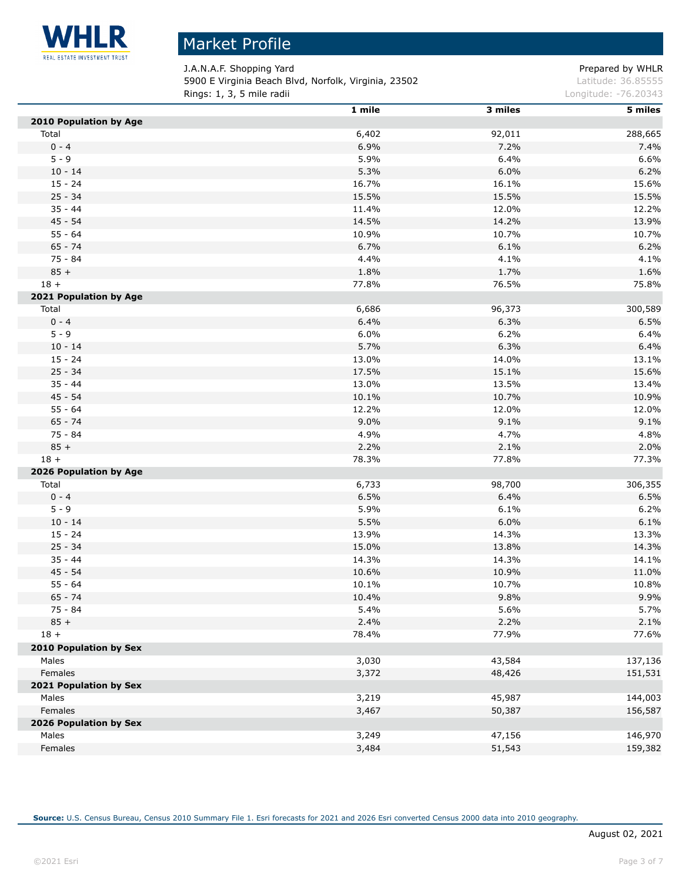

Ĺ,

# Market Profile

J.A.N.A.F. Shopping Yard **Prepared by WHLR** 5900 E Virginia Beach Blvd, Norfolk, Virginia, 23502 Latitude: 36.85555 **Rings: 1, 3, 5 mile radii Congression Congress 2014 Longitude: -76.20343** 

|                        | 1 mile        | 3 miles | 5 miles |
|------------------------|---------------|---------|---------|
| 2010 Population by Age |               |         |         |
| Total                  | 6,402         | 92,011  | 288,665 |
| $0 - 4$                | 6.9%          | 7.2%    | 7.4%    |
| $5 - 9$                | 5.9%          | 6.4%    | 6.6%    |
| $10 - 14$              | 5.3%          | 6.0%    | 6.2%    |
| $15 - 24$              | 16.7%         | 16.1%   | 15.6%   |
| $25 - 34$              | 15.5%         | 15.5%   | 15.5%   |
| $35 - 44$              | 11.4%         | 12.0%   | 12.2%   |
| $45 - 54$              | 14.5%         | 14.2%   | 13.9%   |
| $55 - 64$              | 10.9%         | 10.7%   | 10.7%   |
| $65 - 74$              | 6.7%          | 6.1%    | 6.2%    |
| $75 - 84$              | 4.4%          | 4.1%    | 4.1%    |
| $85 +$                 | 1.8%          | 1.7%    | 1.6%    |
| $18 +$                 | 77.8%         | 76.5%   | 75.8%   |
| 2021 Population by Age |               |         |         |
| Total                  | 6,686         | 96,373  | 300,589 |
| $0 - 4$                | 6.4%          | 6.3%    | 6.5%    |
| $5 - 9$                | 6.0%          | 6.2%    | 6.4%    |
| $10 - 14$              | 5.7%          | 6.3%    | 6.4%    |
| $15 - 24$              | 13.0%         | 14.0%   | 13.1%   |
| $25 - 34$              | 17.5%         | 15.1%   | 15.6%   |
| $35 - 44$              | 13.0%         | 13.5%   | 13.4%   |
| $45 - 54$              | 10.1%         | 10.7%   | 10.9%   |
| $55 - 64$              | 12.2%         | 12.0%   | 12.0%   |
| $65 - 74$              | 9.0%          | 9.1%    | 9.1%    |
| $75 - 84$              | 4.9%          | 4.7%    | 4.8%    |
| $85 +$                 | 2.2%          | 2.1%    | 2.0%    |
| $18 +$                 | 78.3%         | 77.8%   | 77.3%   |
| 2026 Population by Age |               |         |         |
| Total                  | 6,733         | 98,700  | 306,355 |
| $0 - 4$                | 6.5%          | 6.4%    | 6.5%    |
| $5 - 9$                | 5.9%          | 6.1%    | 6.2%    |
| $10 - 14$              | 5.5%          | 6.0%    | 6.1%    |
| $15 - 24$              | 13.9%         | 14.3%   | 13.3%   |
| $25 - 34$              | 15.0%         | 13.8%   | 14.3%   |
| $35 - 44$              | 14.3%         | 14.3%   | 14.1%   |
| $45 - 54$              | 10.6%         | 10.9%   | 11.0%   |
| $55 - 64$              | 10.1%         | 10.7%   | 10.8%   |
| $65 - 74$              |               | 9.8%    | 9.9%    |
| 75 - 84                | 10.4%<br>5.4% | 5.6%    | 5.7%    |
| $85 +$                 | 2.4%          | 2.2%    | 2.1%    |
| $18 +$                 | 78.4%         | 77.9%   |         |
|                        |               |         | 77.6%   |
| 2010 Population by Sex |               |         |         |
| Males                  | 3,030         | 43,584  | 137,136 |
| Females                | 3,372         | 48,426  | 151,531 |
| 2021 Population by Sex |               |         |         |
| Males                  | 3,219         | 45,987  | 144,003 |
| Females                | 3,467         | 50,387  | 156,587 |
| 2026 Population by Sex |               |         |         |
| Males                  | 3,249         | 47,156  | 146,970 |
| Females                | 3,484         | 51,543  | 159,382 |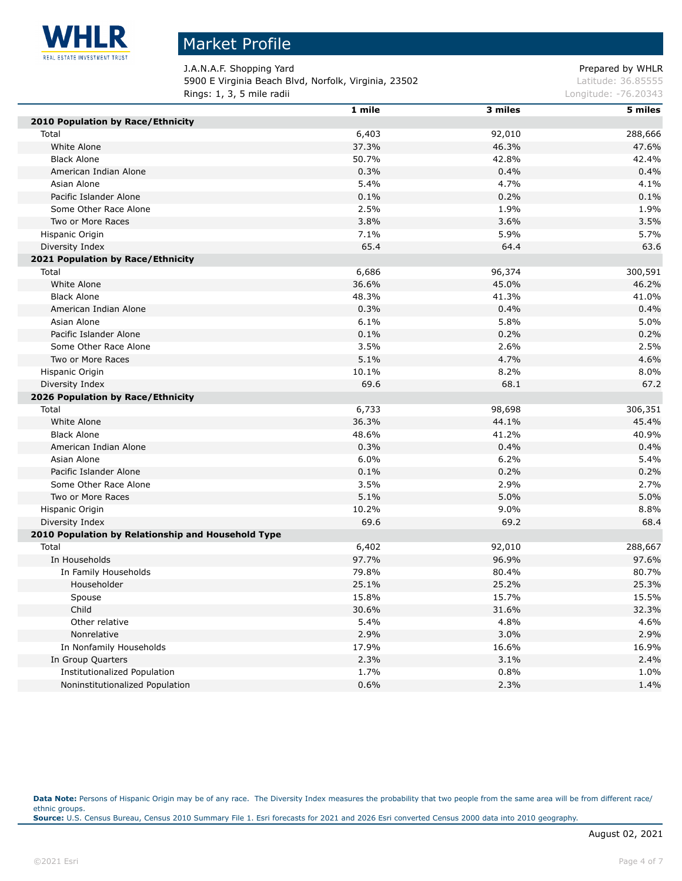

Г

## Market Profile

J.A.N.A.F. Shopping Yard **Prepared by WHLR** 5900 E Virginia Beach Blvd, Norfolk, Virginia, 23502 Latitude: 36.85555 **Rings: 1, 3, 5 mile radii Congression Congress 2014 Longitude: -76.20343** 

|                                                    | 1 mile | 3 miles | 5 miles |
|----------------------------------------------------|--------|---------|---------|
| 2010 Population by Race/Ethnicity                  |        |         |         |
| Total                                              | 6,403  | 92,010  | 288,666 |
| White Alone                                        | 37.3%  | 46.3%   | 47.6%   |
| <b>Black Alone</b>                                 | 50.7%  | 42.8%   | 42.4%   |
| American Indian Alone                              | 0.3%   | 0.4%    | 0.4%    |
| Asian Alone                                        | 5.4%   | 4.7%    | 4.1%    |
| Pacific Islander Alone                             | 0.1%   | 0.2%    | 0.1%    |
| Some Other Race Alone                              | 2.5%   | 1.9%    | 1.9%    |
| Two or More Races                                  | 3.8%   | 3.6%    | 3.5%    |
| Hispanic Origin                                    | 7.1%   | 5.9%    | 5.7%    |
| Diversity Index                                    | 65.4   | 64.4    | 63.6    |
| 2021 Population by Race/Ethnicity                  |        |         |         |
| Total                                              | 6,686  | 96,374  | 300,591 |
| White Alone                                        | 36.6%  | 45.0%   | 46.2%   |
| <b>Black Alone</b>                                 | 48.3%  | 41.3%   | 41.0%   |
| American Indian Alone                              | 0.3%   | 0.4%    | 0.4%    |
| Asian Alone                                        | 6.1%   | 5.8%    | 5.0%    |
| Pacific Islander Alone                             | 0.1%   | 0.2%    | 0.2%    |
| Some Other Race Alone                              | 3.5%   | 2.6%    | 2.5%    |
| Two or More Races                                  | 5.1%   | 4.7%    | 4.6%    |
| Hispanic Origin                                    | 10.1%  | 8.2%    | 8.0%    |
| Diversity Index                                    | 69.6   | 68.1    | 67.2    |
| 2026 Population by Race/Ethnicity                  |        |         |         |
| Total                                              | 6,733  | 98,698  | 306,351 |
| White Alone                                        | 36.3%  | 44.1%   | 45.4%   |
| <b>Black Alone</b>                                 | 48.6%  | 41.2%   | 40.9%   |
| American Indian Alone                              | 0.3%   | 0.4%    | 0.4%    |
| Asian Alone                                        | 6.0%   | 6.2%    | 5.4%    |
| Pacific Islander Alone                             | 0.1%   | 0.2%    | 0.2%    |
| Some Other Race Alone                              | 3.5%   | 2.9%    | 2.7%    |
| Two or More Races                                  | 5.1%   | 5.0%    | 5.0%    |
| Hispanic Origin                                    | 10.2%  | $9.0\%$ | 8.8%    |
| Diversity Index                                    | 69.6   | 69.2    | 68.4    |
| 2010 Population by Relationship and Household Type |        |         |         |
| Total                                              | 6,402  | 92,010  | 288,667 |
| In Households                                      | 97.7%  | 96.9%   | 97.6%   |
| In Family Households                               | 79.8%  | 80.4%   | 80.7%   |
| Householder                                        | 25.1%  | 25.2%   | 25.3%   |
| Spouse                                             | 15.8%  | 15.7%   | 15.5%   |
| Child                                              | 30.6%  | 31.6%   | 32.3%   |
| Other relative                                     | 5.4%   | 4.8%    | 4.6%    |
| Nonrelative                                        | 2.9%   | 3.0%    | 2.9%    |
| In Nonfamily Households                            | 17.9%  | 16.6%   | 16.9%   |
| In Group Quarters                                  | 2.3%   | 3.1%    | 2.4%    |
| Institutionalized Population                       | 1.7%   | 0.8%    | 1.0%    |
| Noninstitutionalized Population                    | 0.6%   | 2.3%    | 1.4%    |

Data Note: Persons of Hispanic Origin may be of any race. The Diversity Index measures the probability that two people from the same area will be from different race/ ethnic groups. **Source:** U.S. Census Bureau, Census 2010 Summary File 1. Esri forecasts for 2021 and 2026 Esri converted Census 2000 data into 2010 geography.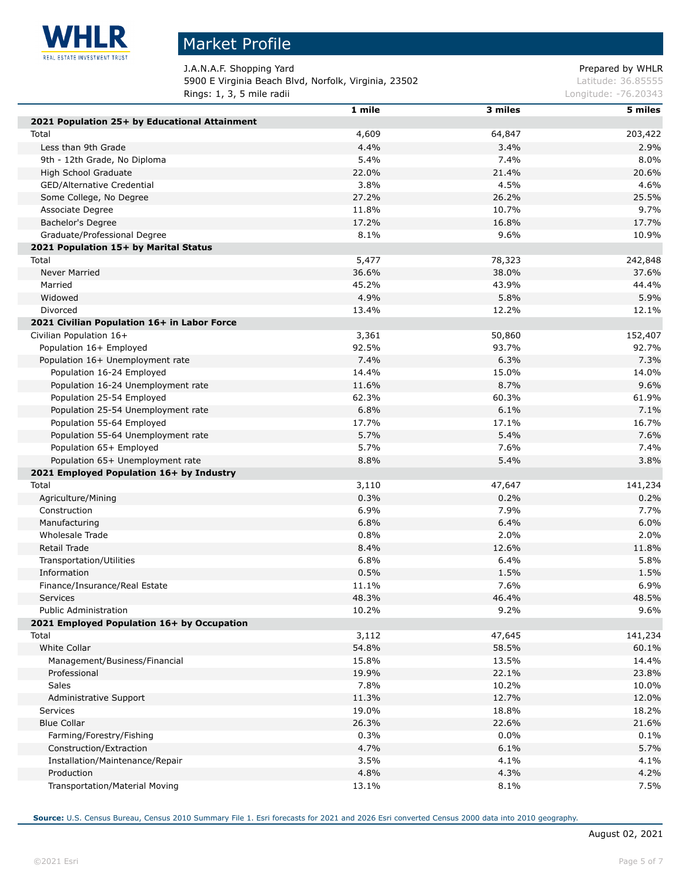

# Market Profile

J.A.N.A.F. Shopping Yard **Prepared by WHLR** 5900 E Virginia Beach Blvd, Norfolk, Virginia, 23502 Latitude: 36.85555 **Rings: 1, 3, 5 mile radii Congression Congress 2018** Longitude: -76.20343

| 2021 Population 25+ by Educational Attainment | $1$ mile | 3 miles | 5 miles |
|-----------------------------------------------|----------|---------|---------|
| Total                                         | 4,609    | 64,847  | 203,422 |
| Less than 9th Grade                           | 4.4%     | 3.4%    | 2.9%    |
| 9th - 12th Grade, No Diploma                  | 5.4%     | 7.4%    | 8.0%    |
| High School Graduate                          | 22.0%    | 21.4%   | 20.6%   |
| GED/Alternative Credential                    | 3.8%     | 4.5%    | 4.6%    |
|                                               | 27.2%    | 26.2%   | 25.5%   |
| Some College, No Degree                       | 11.8%    | 10.7%   | 9.7%    |
| Associate Degree<br>Bachelor's Degree         | 17.2%    | 16.8%   | 17.7%   |
| Graduate/Professional Degree                  |          |         | 10.9%   |
|                                               | 8.1%     | 9.6%    |         |
| 2021 Population 15+ by Marital Status         |          |         |         |
| Total                                         | 5,477    | 78,323  | 242,848 |
| Never Married                                 | 36.6%    | 38.0%   | 37.6%   |
| Married                                       | 45.2%    | 43.9%   | 44.4%   |
| Widowed                                       | 4.9%     | 5.8%    | 5.9%    |
| Divorced                                      | 13.4%    | 12.2%   | 12.1%   |
| 2021 Civilian Population 16+ in Labor Force   |          |         |         |
| Civilian Population 16+                       | 3,361    | 50,860  | 152,407 |
| Population 16+ Employed                       | 92.5%    | 93.7%   | 92.7%   |
| Population 16+ Unemployment rate              | 7.4%     | 6.3%    | 7.3%    |
| Population 16-24 Employed                     | 14.4%    | 15.0%   | 14.0%   |
| Population 16-24 Unemployment rate            | 11.6%    | 8.7%    | 9.6%    |
| Population 25-54 Employed                     | 62.3%    | 60.3%   | 61.9%   |
| Population 25-54 Unemployment rate            | 6.8%     | 6.1%    | 7.1%    |
| Population 55-64 Employed                     | 17.7%    | 17.1%   | 16.7%   |
| Population 55-64 Unemployment rate            | 5.7%     | 5.4%    | 7.6%    |
| Population 65+ Employed                       | 5.7%     | 7.6%    | 7.4%    |
| Population 65+ Unemployment rate              | 8.8%     | 5.4%    | 3.8%    |
| 2021 Employed Population 16+ by Industry      |          |         |         |
| Total                                         | 3,110    | 47,647  | 141,234 |
| Agriculture/Mining                            | 0.3%     | 0.2%    | 0.2%    |
| Construction                                  | 6.9%     | 7.9%    | 7.7%    |
| Manufacturing                                 | 6.8%     | 6.4%    | 6.0%    |
| Wholesale Trade                               | 0.8%     | 2.0%    | 2.0%    |
| Retail Trade                                  | 8.4%     | 12.6%   | 11.8%   |
| Transportation/Utilities                      | 6.8%     | 6.4%    | 5.8%    |
| Information                                   | 0.5%     | 1.5%    | 1.5%    |
| Finance/Insurance/Real Estate                 | 11.1%    | 7.6%    | 6.9%    |
| Services                                      | 48.3%    | 46.4%   | 48.5%   |
| Public Administration                         | 10.2%    | 9.2%    | 9.6%    |
| 2021 Employed Population 16+ by Occupation    |          |         |         |
| Total                                         | 3,112    | 47,645  | 141,234 |
| White Collar                                  | 54.8%    | 58.5%   | 60.1%   |
| Management/Business/Financial                 | 15.8%    | 13.5%   | 14.4%   |
| Professional                                  | 19.9%    | 22.1%   | 23.8%   |
| Sales                                         | 7.8%     | 10.2%   | 10.0%   |
| Administrative Support                        | 11.3%    | 12.7%   | 12.0%   |
| Services                                      | 19.0%    | 18.8%   | 18.2%   |
| <b>Blue Collar</b>                            | 26.3%    | 22.6%   | 21.6%   |
| Farming/Forestry/Fishing                      | 0.3%     | $0.0\%$ | 0.1%    |
| Construction/Extraction                       | 4.7%     | 6.1%    | 5.7%    |
| Installation/Maintenance/Repair               | 3.5%     | 4.1%    | 4.1%    |
| Production                                    | 4.8%     | 4.3%    | 4.2%    |
| Transportation/Material Moving                | 13.1%    | 8.1%    | 7.5%    |
|                                               |          |         |         |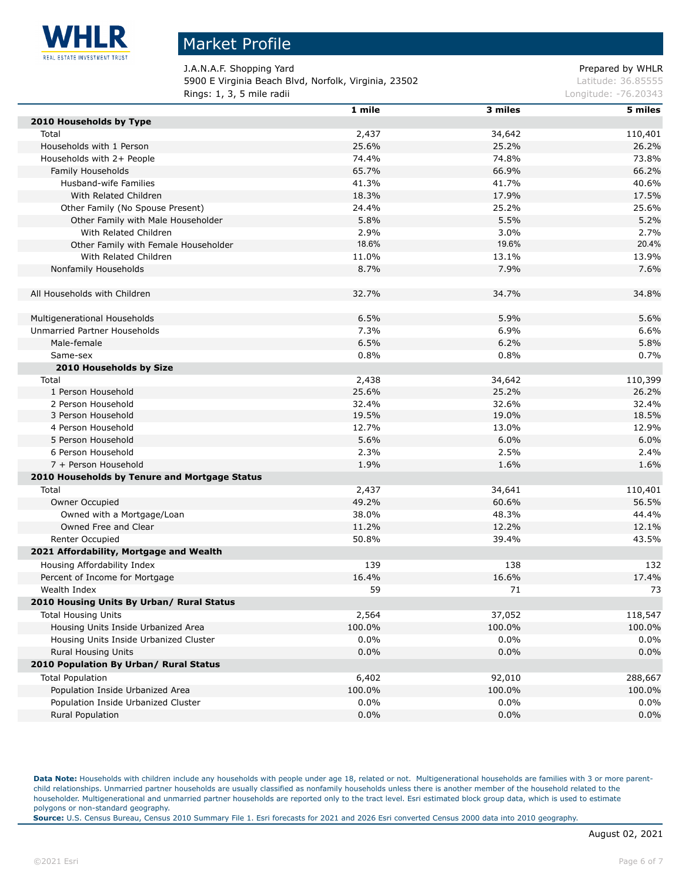

### Market Profile

J.A.N.A.F. Shopping Yard Prepared by WHLR 5900 E Virginia Beach Blvd, Norfolk, Virginia, 23502 Latitude: 36.85555 **Rings: 1, 3, 5 mile radii Congression Congress 2018** Longitude: -76.20343

|                                               | 1 mile  | 3 miles | 5 miles |
|-----------------------------------------------|---------|---------|---------|
| 2010 Households by Type                       |         |         |         |
| Total                                         | 2,437   | 34,642  | 110,401 |
| Households with 1 Person                      | 25.6%   | 25.2%   | 26.2%   |
| Households with 2+ People                     | 74.4%   | 74.8%   | 73.8%   |
| Family Households                             | 65.7%   | 66.9%   | 66.2%   |
| Husband-wife Families                         | 41.3%   | 41.7%   | 40.6%   |
| With Related Children                         | 18.3%   | 17.9%   | 17.5%   |
| Other Family (No Spouse Present)              | 24.4%   | 25.2%   | 25.6%   |
| Other Family with Male Householder            | 5.8%    | 5.5%    | 5.2%    |
| With Related Children                         | 2.9%    | 3.0%    | 2.7%    |
| Other Family with Female Householder          | 18.6%   | 19.6%   | 20.4%   |
| With Related Children                         | 11.0%   | 13.1%   | 13.9%   |
| Nonfamily Households                          | 8.7%    | 7.9%    | 7.6%    |
|                                               |         |         |         |
| All Households with Children                  | 32.7%   | 34.7%   | 34.8%   |
|                                               |         |         |         |
| Multigenerational Households                  | 6.5%    | 5.9%    | 5.6%    |
| Unmarried Partner Households                  | 7.3%    | 6.9%    | 6.6%    |
| Male-female                                   | 6.5%    | 6.2%    | 5.8%    |
| Same-sex                                      | 0.8%    | 0.8%    | 0.7%    |
| 2010 Households by Size                       |         |         |         |
| Total                                         | 2,438   | 34,642  | 110,399 |
| 1 Person Household                            | 25.6%   | 25.2%   | 26.2%   |
| 2 Person Household                            | 32.4%   | 32.6%   | 32.4%   |
| 3 Person Household                            | 19.5%   | 19.0%   | 18.5%   |
| 4 Person Household                            | 12.7%   | 13.0%   | 12.9%   |
| 5 Person Household                            | 5.6%    | 6.0%    | 6.0%    |
| 6 Person Household                            | 2.3%    | 2.5%    | 2.4%    |
| 7 + Person Household                          | 1.9%    | 1.6%    | 1.6%    |
| 2010 Households by Tenure and Mortgage Status |         |         |         |
| Total                                         | 2,437   | 34,641  | 110,401 |
| Owner Occupied                                | 49.2%   | 60.6%   | 56.5%   |
| Owned with a Mortgage/Loan                    | 38.0%   | 48.3%   | 44.4%   |
| Owned Free and Clear                          | 11.2%   | 12.2%   | 12.1%   |
| Renter Occupied                               | 50.8%   | 39.4%   | 43.5%   |
| 2021 Affordability, Mortgage and Wealth       |         |         |         |
| Housing Affordability Index                   | 139     | 138     | 132     |
| Percent of Income for Mortgage                | 16.4%   | 16.6%   | 17.4%   |
| Wealth Index                                  | 59      | 71      | 73      |
| 2010 Housing Units By Urban/ Rural Status     |         |         |         |
| <b>Total Housing Units</b>                    | 2,564   | 37,052  | 118,547 |
| Housing Units Inside Urbanized Area           | 100.0%  | 100.0%  | 100.0%  |
| Housing Units Inside Urbanized Cluster        | $0.0\%$ | 0.0%    | 0.0%    |
| <b>Rural Housing Units</b>                    | 0.0%    | 0.0%    | 0.0%    |
| 2010 Population By Urban/ Rural Status        |         |         |         |
| <b>Total Population</b>                       | 6,402   | 92,010  | 288,667 |
| Population Inside Urbanized Area              | 100.0%  | 100.0%  | 100.0%  |
| Population Inside Urbanized Cluster           | $0.0\%$ | $0.0\%$ | 0.0%    |
| <b>Rural Population</b>                       | 0.0%    | 0.0%    | 0.0%    |
|                                               |         |         |         |

Data Note: Households with children include any households with people under age 18, related or not. Multigenerational households are families with 3 or more parentchild relationships. Unmarried partner households are usually classified as nonfamily households unless there is another member of the household related to the householder. Multigenerational and unmarried partner households are reported only to the tract level. Esri estimated block group data, which is used to estimate polygons or non-standard geography.